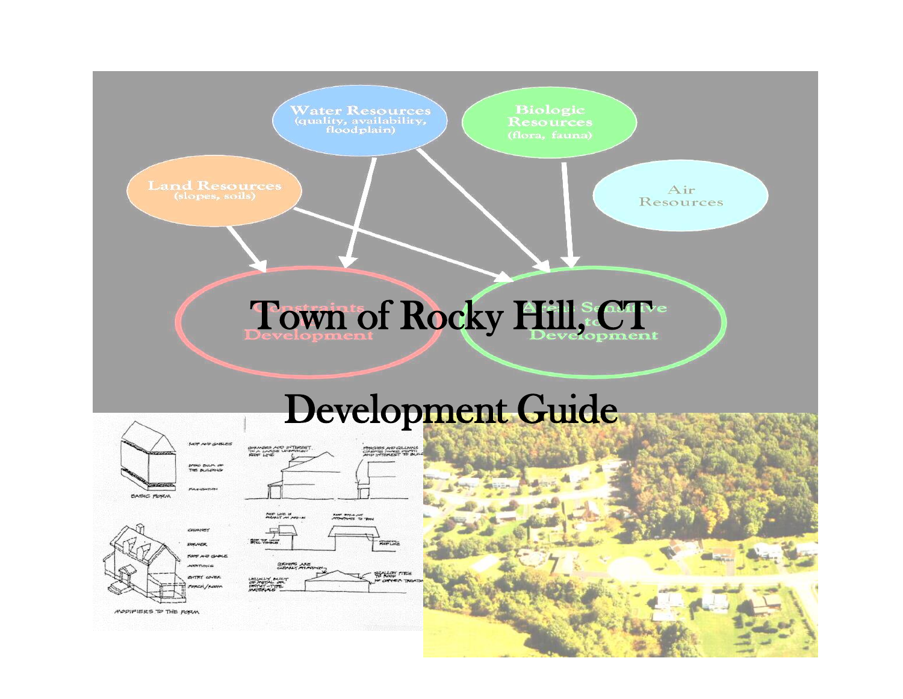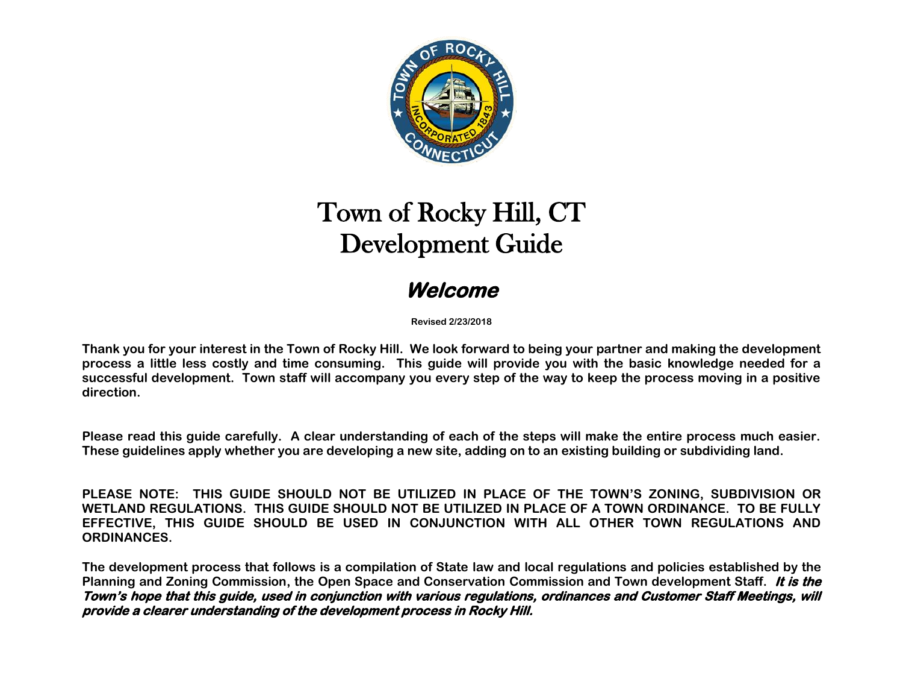

# Town of Rocky Hill, CT Development Guide

# **Welcome**

**Revised 2/23/2018**

**Thank you for your interest in the Town of Rocky Hill. We look forward to being your partner and making the development process a little less costly and time consuming. This guide will provide you with the basic knowledge needed for a successful development. Town staff will accompany you every step of the way to keep the process moving in a positive direction.**

**Please read this guide carefully. A clear understanding of each of the steps will make the entire process much easier. These guidelines apply whether you are developing a new site, adding on to an existing building or subdividing land.** 

**PLEASE NOTE: THIS GUIDE SHOULD NOT BE UTILIZED IN PLACE OF THE TOWN'S ZONING, SUBDIVISION OR WETLAND REGULATIONS. THIS GUIDE SHOULD NOT BE UTILIZED IN PLACE OF A TOWN ORDINANCE. TO BE FULLY EFFECTIVE, THIS GUIDE SHOULD BE USED IN CONJUNCTION WITH ALL OTHER TOWN REGULATIONS AND ORDINANCES.** 

**The development process that follows is a compilation of State law and local regulations and policies established by the Planning and Zoning Commission, the Open Space and Conservation Commission and Town development Staff. It is the Town's hope that this guide, used in conjunction with various regulations, ordinances and Customer Staff Meetings, will provide a clearer understanding of the development process in Rocky Hill.**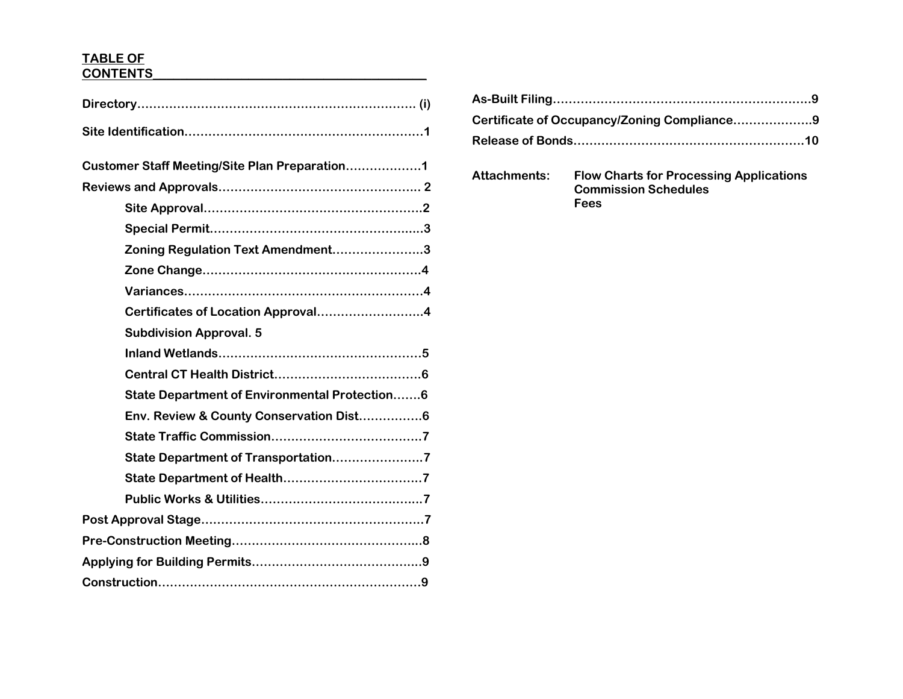# **TABLE OF CONTENTS\_\_\_\_\_\_\_\_\_\_\_\_\_\_\_\_\_\_\_\_\_\_\_\_\_\_\_\_\_\_\_\_\_\_\_\_\_\_\_\_**

| Zoning Regulation Text Amendment3<br>Certificates of Location Approval4<br><b>Subdivision Approval. 5</b><br>State Department of Environmental Protection6<br>Env. Review & County Conservation Dist6<br>State Department of Transportation7 |                                               |
|----------------------------------------------------------------------------------------------------------------------------------------------------------------------------------------------------------------------------------------------|-----------------------------------------------|
|                                                                                                                                                                                                                                              |                                               |
|                                                                                                                                                                                                                                              | Customer Staff Meeting/Site Plan Preparation1 |
|                                                                                                                                                                                                                                              |                                               |
|                                                                                                                                                                                                                                              |                                               |
|                                                                                                                                                                                                                                              |                                               |
|                                                                                                                                                                                                                                              |                                               |
|                                                                                                                                                                                                                                              |                                               |
|                                                                                                                                                                                                                                              |                                               |
|                                                                                                                                                                                                                                              |                                               |
|                                                                                                                                                                                                                                              |                                               |
|                                                                                                                                                                                                                                              |                                               |
|                                                                                                                                                                                                                                              |                                               |
|                                                                                                                                                                                                                                              |                                               |
|                                                                                                                                                                                                                                              |                                               |
|                                                                                                                                                                                                                                              |                                               |
|                                                                                                                                                                                                                                              |                                               |
|                                                                                                                                                                                                                                              |                                               |
|                                                                                                                                                                                                                                              |                                               |
|                                                                                                                                                                                                                                              |                                               |
|                                                                                                                                                                                                                                              |                                               |
|                                                                                                                                                                                                                                              |                                               |
|                                                                                                                                                                                                                                              |                                               |

| Certificate of Occupancy/Zoning Compliance9 |  |
|---------------------------------------------|--|
|                                             |  |

**Attachments: Flow Charts for Processing Applications Commission Schedules Fees**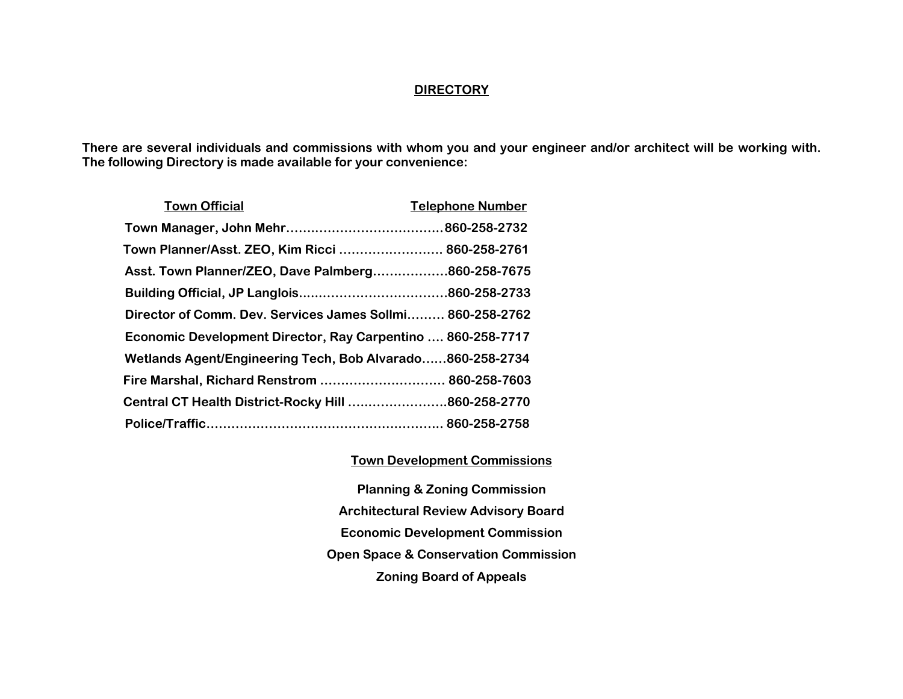#### **DIRECTORY**

**There are several individuals and commissions with whom you and your engineer and/or architect will be working with. The following Directory is made available for your convenience:**

| <b>Town Official</b>                                        | <b>Telephone Number</b> |
|-------------------------------------------------------------|-------------------------|
|                                                             |                         |
| Town Planner/Asst. ZEO, Kim Ricci  860-258-2761             |                         |
| Asst. Town Planner/ZEO, Dave Palmberg860-258-7675           |                         |
|                                                             |                         |
| Director of Comm. Dev. Services James Sollmi 860-258-2762   |                         |
| Economic Development Director, Ray Carpentino  860-258-7717 |                         |
| Wetlands Agent/Engineering Tech, Bob Alvarado860-258-2734   |                         |
| Fire Marshal, Richard Renstrom  860-258-7603                |                         |
| Central CT Health District-Rocky Hill 860-258-2770          |                         |
|                                                             |                         |

#### **Town Development Commissions**

**Planning & Zoning Commission Architectural Review Advisory Board Economic Development Commission Open Space & Conservation Commission Zoning Board of Appeals**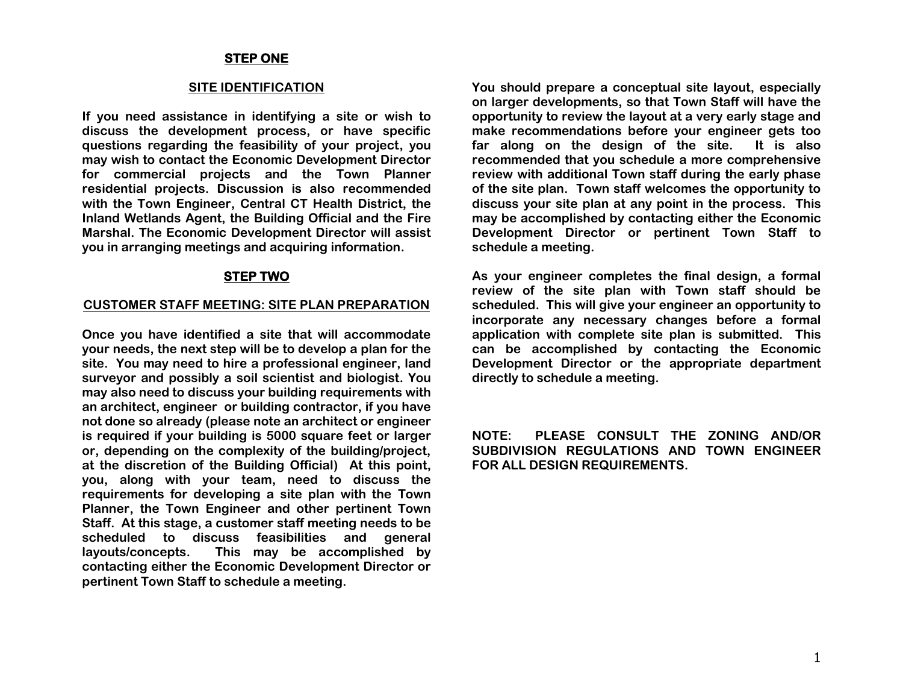#### **STEP ONE**

#### **SITE IDENTIFICATION**

**If you need assistance in identifying a site or wish to discuss the development process, or have specific questions regarding the feasibility of your project, you may wish to contact the Economic Development Director for commercial projects and the Town Planner residential projects. Discussion is also recommended with the Town Engineer, Central CT Health District, the Inland Wetlands Agent, the Building Official and the Fire Marshal. The Economic Development Director will assist you in arranging meetings and acquiring information.**

#### **STEP TWO**

#### **CUSTOMER STAFF MEETING: SITE PLAN PREPARATION**

**Once you have identified a site that will accommodate your needs, the next step will be to develop a plan for the site. You may need to hire a professional engineer, land surveyor and possibly a soil scientist and biologist. You may also need to discuss your building requirements with an architect, engineer or building contractor, if you have not done so already (please note an architect or engineer is required if your building is 5000 square feet or larger or, depending on the complexity of the building/project, at the discretion of the Building Official) At this point, you, along with your team, need to discuss the requirements for developing a site plan with the Town Planner, the Town Engineer and other pertinent Town Staff. At this stage, a customer staff meeting needs to be scheduled to discuss feasibilities and general layouts/concepts. This may be accomplished by contacting either the Economic Development Director or pertinent Town Staff to schedule a meeting.**

**You should prepare a conceptual site layout, especially on larger developments, so that Town Staff will have the opportunity to review the layout at a very early stage and make recommendations before your engineer gets too far along on the design of the site. It is also recommended that you schedule a more comprehensive review with additional Town staff during the early phase of the site plan. Town staff welcomes the opportunity to discuss your site plan at any point in the process. This may be accomplished by contacting either the Economic Development Director or pertinent Town Staff to schedule a meeting.**

**As your engineer completes the final design, a formal review of the site plan with Town staff should be scheduled. This will give your engineer an opportunity to incorporate any necessary changes before a formal application with complete site plan is submitted. This can be accomplished by contacting the Economic Development Director or the appropriate department directly to schedule a meeting.**

**NOTE: PLEASE CONSULT THE ZONING AND/OR SUBDIVISION REGULATIONS AND TOWN ENGINEER FOR ALL DESIGN REQUIREMENTS.**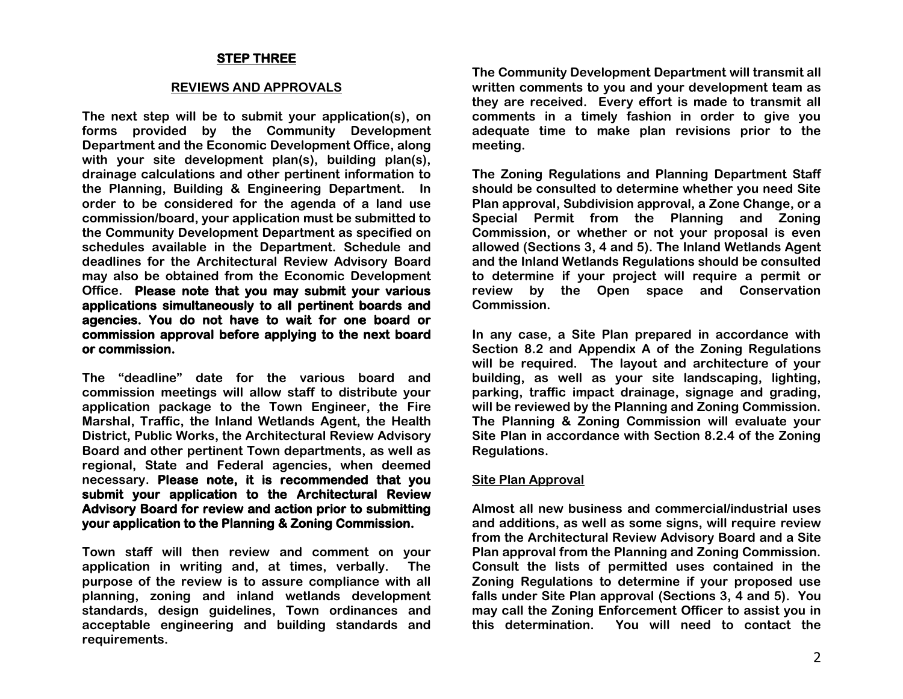#### **STEP THREE**

#### **REVIEWS AND APPROVALS**

**The next step will be to submit your application(s), on forms provided by the Community Development Department and the Economic Development Office, along with your site development plan(s), building plan(s), drainage calculations and other pertinent information to the Planning, Building & Engineering Department. In order to be considered for the agenda of a land use commission/board, your application must be submitted to the Community Development Department as specified on schedules available in the Department. Schedule and deadlines for the Architectural Review Advisory Board may also be obtained from the Economic Development Office. Please note that you may submit your various applications simultaneously to all pertinent boards and agencies. You do not have to wait for one board or commission approval before applying to the next board or commission.** 

**The "deadline" date for the various board and commission meetings will allow staff to distribute your application package to the Town Engineer, the Fire Marshal, Traffic, the Inland Wetlands Agent, the Health District, Public Works, the Architectural Review Advisory Board and other pertinent Town departments, as well as regional, State and Federal agencies, when deemed necessary. Please note, it is recommended that you submit your application to the Architectural Review Advisory Board for review and action prior to submitting your application to the Planning & Zoning Commission.** 

**Town staff will then review and comment on your application in writing and, at times, verbally. The purpose of the review is to assure compliance with all planning, zoning and inland wetlands development standards, design guidelines, Town ordinances and acceptable engineering and building standards and requirements.**

**The Community Development Department will transmit all written comments to you and your development team as they are received. Every effort is made to transmit all comments in a timely fashion in order to give you adequate time to make plan revisions prior to the meeting.**

**The Zoning Regulations and Planning Department Staff should be consulted to determine whether you need Site Plan approval, Subdivision approval, a Zone Change, or a Special Permit from the Planning and Zoning Commission, or whether or not your proposal is even allowed (Sections 3, 4 and 5). The Inland Wetlands Agent and the Inland Wetlands Regulations should be consulted to determine if your project will require a permit or review by the Open space and Conservation Commission.**

**In any case, a Site Plan prepared in accordance with Section 8.2 and Appendix A of the Zoning Regulations will be required. The layout and architecture of your building, as well as your site landscaping, lighting, parking, traffic impact drainage, signage and grading, will be reviewed by the Planning and Zoning Commission. The Planning & Zoning Commission will evaluate your Site Plan in accordance with Section 8.2.4 of the Zoning Regulations.**

#### **Site Plan Approval**

**Almost all new business and commercial/industrial uses and additions, as well as some signs, will require review from the Architectural Review Advisory Board and a Site Plan approval from the Planning and Zoning Commission. Consult the lists of permitted uses contained in the Zoning Regulations to determine if your proposed use falls under Site Plan approval (Sections 3, 4 and 5). You may call the Zoning Enforcement Officer to assist you in this determination. You will need to contact the**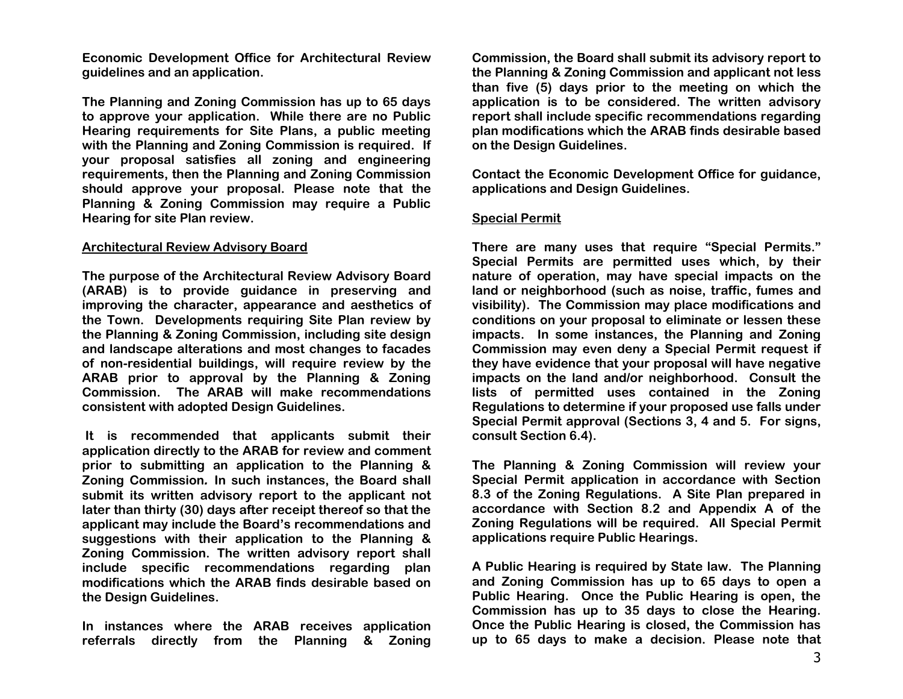**Economic Development Office for Architectural Review guidelines and an application.**

**The Planning and Zoning Commission has up to 65 days to approve your application. While there are no Public Hearing requirements for Site Plans, a public meeting with the Planning and Zoning Commission is required. If your proposal satisfies all zoning and engineering requirements, then the Planning and Zoning Commission should approve your proposal. Please note that the Planning & Zoning Commission may require a Public Hearing for site Plan review.**

#### **Architectural Review Advisory Board**

**The purpose of the Architectural Review Advisory Board (ARAB) is to provide guidance in preserving and improving the character, appearance and aesthetics of the Town. Developments requiring Site Plan review by the Planning & Zoning Commission, including site design and landscape alterations and most changes to facades of non-residential buildings, will require review by the ARAB prior to approval by the Planning & Zoning Commission. The ARAB will make recommendations consistent with adopted Design Guidelines.**

**It is recommended that applicants submit their application directly to the ARAB for review and comment prior to submitting an application to the Planning & Zoning Commission***.* **In such instances, the Board shall submit its written advisory report to the applicant not later than thirty (30) days after receipt thereof so that the applicant may include the Board's recommendations and suggestions with their application to the Planning & Zoning Commission. The written advisory report shall include specific recommendations regarding plan modifications which the ARAB finds desirable based on the Design Guidelines.**

**In instances where the ARAB receives application referrals directly from the Planning & Zoning** 

**Commission, the Board shall submit its advisory report to the Planning & Zoning Commission and applicant not less than five (5) days prior to the meeting on which the application is to be considered. The written advisory report shall include specific recommendations regarding plan modifications which the ARAB finds desirable based on the Design Guidelines.**

**Contact the Economic Development Office for guidance, applications and Design Guidelines.** 

#### **Special Permit**

**There are many uses that require "Special Permits." Special Permits are permitted uses which, by their nature of operation, may have special impacts on the land or neighborhood (such as noise, traffic, fumes and visibility). The Commission may place modifications and conditions on your proposal to eliminate or lessen these impacts. In some instances, the Planning and Zoning Commission may even deny a Special Permit request if they have evidence that your proposal will have negative impacts on the land and/or neighborhood. Consult the lists of permitted uses contained in the Zoning Regulations to determine if your proposed use falls under Special Permit approval (Sections 3, 4 and 5. For signs, consult Section 6.4).** 

**The Planning & Zoning Commission will review your Special Permit application in accordance with Section 8.3 of the Zoning Regulations. A Site Plan prepared in accordance with Section 8.2 and Appendix A of the Zoning Regulations will be required. All Special Permit applications require Public Hearings.** 

**A Public Hearing is required by State law. The Planning and Zoning Commission has up to 65 days to open a Public Hearing. Once the Public Hearing is open, the Commission has up to 35 days to close the Hearing. Once the Public Hearing is closed, the Commission has up to 65 days to make a decision. Please note that**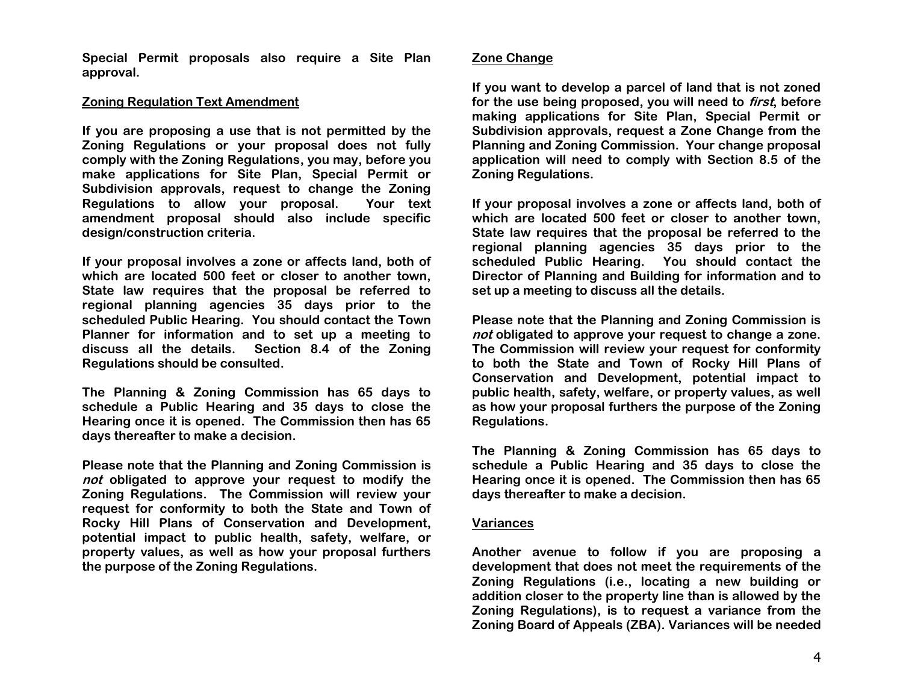**Special Permit proposals also require a Site Plan approval.**

#### **Zoning Regulation Text Amendment**

**If you are proposing a use that is not permitted by the Zoning Regulations or your proposal does not fully comply with the Zoning Regulations, you may, before you make applications for Site Plan, Special Permit or Subdivision approvals, request to change the Zoning Regulations to allow your proposal. Your text amendment proposal should also include specific design/construction criteria.** 

**If your proposal involves a zone or affects land, both of which are located 500 feet or closer to another town, State law requires that the proposal be referred to regional planning agencies 35 days prior to the scheduled Public Hearing. You should contact the Town Planner for information and to set up a meeting to discuss all the details. Section 8.4 of the Zoning Regulations should be consulted.**

**The Planning & Zoning Commission has 65 days to schedule a Public Hearing and 35 days to close the Hearing once it is opened. The Commission then has 65 days thereafter to make a decision.** 

**Please note that the Planning and Zoning Commission is not obligated to approve your request to modify the Zoning Regulations. The Commission will review your request for conformity to both the State and Town of Rocky Hill Plans of Conservation and Development, potential impact to public health, safety, welfare, or property values, as well as how your proposal furthers the purpose of the Zoning Regulations.**

#### **Zone Change**

**If you want to develop a parcel of land that is not zoned for the use being proposed, you will need to first, before making applications for Site Plan, Special Permit or Subdivision approvals, request a Zone Change from the Planning and Zoning Commission. Your change proposal application will need to comply with Section 8.5 of the Zoning Regulations.** 

**If your proposal involves a zone or affects land, both of which are located 500 feet or closer to another town, State law requires that the proposal be referred to the regional planning agencies 35 days prior to the scheduled Public Hearing. You should contact the Director of Planning and Building for information and to set up a meeting to discuss all the details.** 

**Please note that the Planning and Zoning Commission is not obligated to approve your request to change a zone. The Commission will review your request for conformity to both the State and Town of Rocky Hill Plans of Conservation and Development, potential impact to public health, safety, welfare, or property values, as well as how your proposal furthers the purpose of the Zoning Regulations.**

**The Planning & Zoning Commission has 65 days to schedule a Public Hearing and 35 days to close the Hearing once it is opened. The Commission then has 65 days thereafter to make a decision.** 

#### **Variances**

**Another avenue to follow if you are proposing a development that does not meet the requirements of the Zoning Regulations (i.e., locating a new building or addition closer to the property line than is allowed by the Zoning Regulations), is to request a variance from the Zoning Board of Appeals (ZBA). Variances will be needed**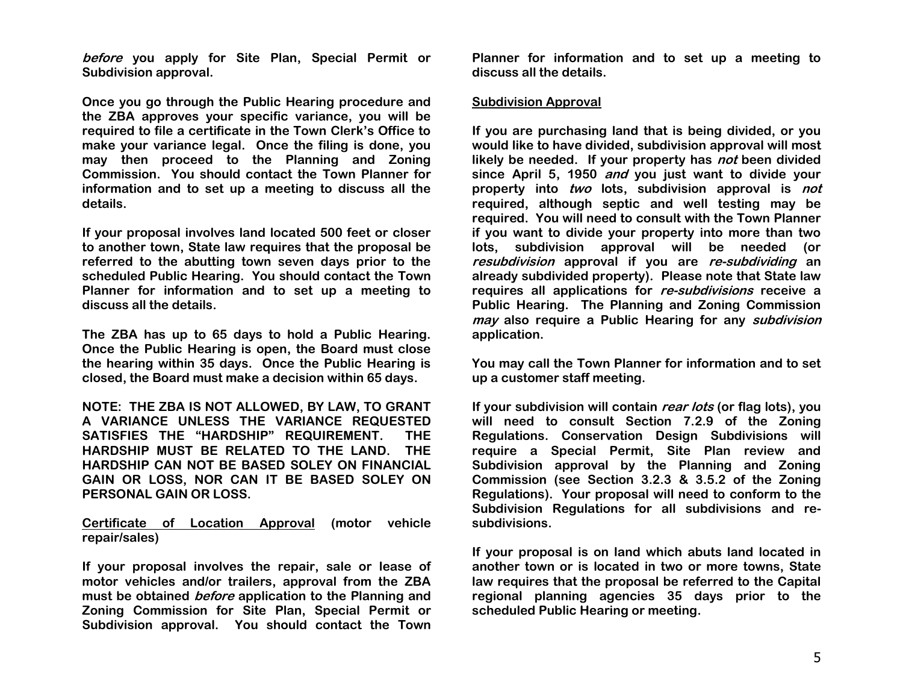**before you apply for Site Plan, Special Permit or Subdivision approval.**

**Once you go through the Public Hearing procedure and the ZBA approves your specific variance, you will be required to file a certificate in the Town Clerk's Office to make your variance legal. Once the filing is done, you may then proceed to the Planning and Zoning Commission. You should contact the Town Planner for information and to set up a meeting to discuss all the details.**

**If your proposal involves land located 500 feet or closer to another town, State law requires that the proposal be referred to the abutting town seven days prior to the scheduled Public Hearing. You should contact the Town Planner for information and to set up a meeting to discuss all the details.** 

**The ZBA has up to 65 days to hold a Public Hearing. Once the Public Hearing is open, the Board must close the hearing within 35 days. Once the Public Hearing is closed, the Board must make a decision within 65 days.**

**NOTE: THE ZBA IS NOT ALLOWED, BY LAW, TO GRANT A VARIANCE UNLESS THE VARIANCE REQUESTED SATISFIES THE "HARDSHIP" REQUIREMENT. THE HARDSHIP MUST BE RELATED TO THE LAND. THE HARDSHIP CAN NOT BE BASED SOLEY ON FINANCIAL GAIN OR LOSS, NOR CAN IT BE BASED SOLEY ON PERSONAL GAIN OR LOSS.** 

**Certificate of Location Approval (motor vehicle repair/sales)**

**If your proposal involves the repair, sale or lease of motor vehicles and/or trailers, approval from the ZBA must be obtained before application to the Planning and Zoning Commission for Site Plan, Special Permit or Subdivision approval. You should contact the Town** 

**Planner for information and to set up a meeting to discuss all the details.**

#### **Subdivision Approval**

**If you are purchasing land that is being divided, or you would like to have divided, subdivision approval will most likely be needed. If your property has not been divided since April 5, 1950 and you just want to divide your property into two lots, subdivision approval is not required, although septic and well testing may be required. You will need to consult with the Town Planner if you want to divide your property into more than two lots, subdivision approval will be needed (or resubdivision approval if you are re-subdividing an already subdivided property). Please note that State law requires all applications for re-subdivisions receive a Public Hearing. The Planning and Zoning Commission may also require a Public Hearing for any subdivision application.**

**You may call the Town Planner for information and to set up a customer staff meeting.**

**If your subdivision will contain rear lots (or flag lots), you will need to consult Section 7.2.9 of the Zoning Regulations. Conservation Design Subdivisions will require a Special Permit, Site Plan review and Subdivision approval by the Planning and Zoning Commission (see Section 3.2.3 & 3.5.2 of the Zoning Regulations). Your proposal will need to conform to the Subdivision Regulations for all subdivisions and resubdivisions.** 

**If your proposal is on land which abuts land located in another town or is located in two or more towns, State law requires that the proposal be referred to the Capital regional planning agencies 35 days prior to the scheduled Public Hearing or meeting.**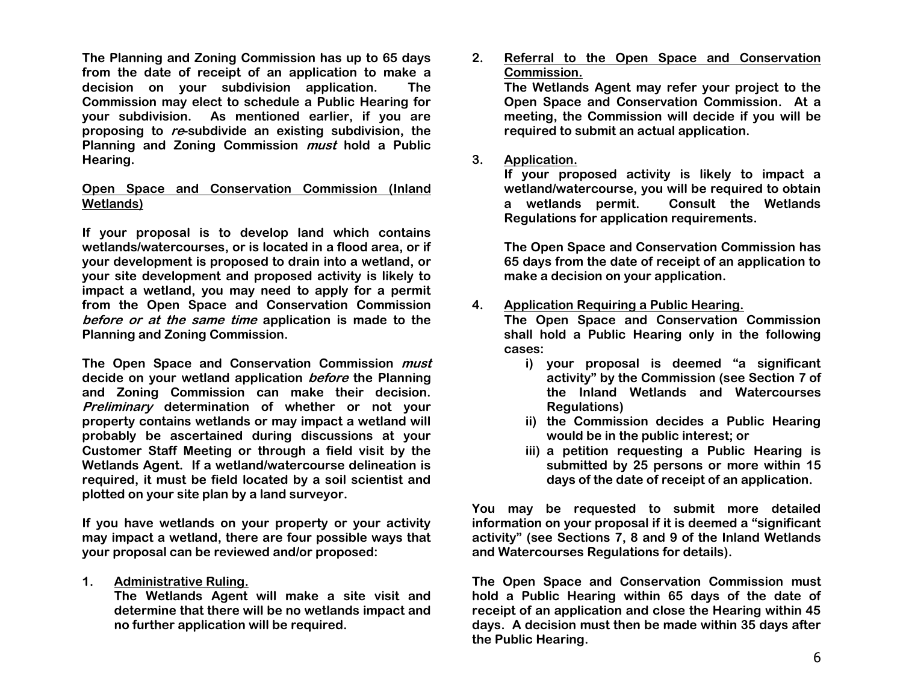**The Planning and Zoning Commission has up to 65 days from the date of receipt of an application to make a decision on your subdivision application. The Commission may elect to schedule a Public Hearing for your subdivision. As mentioned earlier, if you are proposing to re-subdivide an existing subdivision, the Planning and Zoning Commission must hold a Public Hearing.**

#### **Open Space and Conservation Commission (Inland Wetlands)**

**If your proposal is to develop land which contains wetlands/watercourses, or is located in a flood area, or if your development is proposed to drain into a wetland, or your site development and proposed activity is likely to impact a wetland, you may need to apply for a permit from the Open Space and Conservation Commission before or at the same time application is made to the Planning and Zoning Commission.**

**The Open Space and Conservation Commission must decide on your wetland application before the Planning and Zoning Commission can make their decision. Preliminary determination of whether or not your property contains wetlands or may impact a wetland will probably be ascertained during discussions at your Customer Staff Meeting or through a field visit by the Wetlands Agent. If a wetland/watercourse delineation is required, it must be field located by a soil scientist and plotted on your site plan by a land surveyor.**

**If you have wetlands on your property or your activity may impact a wetland, there are four possible ways that your proposal can be reviewed and/or proposed:**

**1. Administrative Ruling.**

**The Wetlands Agent will make a site visit and determine that there will be no wetlands impact and no further application will be required.**

**2. Referral to the Open Space and Conservation Commission.**

**The Wetlands Agent may refer your project to the Open Space and Conservation Commission. At a meeting, the Commission will decide if you will be required to submit an actual application.**

#### **3. Application.**

 **If your proposed activity is likely to impact a wetland/watercourse, you will be required to obtain a wetlands permit. Consult the Wetlands Regulations for application requirements.**

**The Open Space and Conservation Commission has 65 days from the date of receipt of an application to make a decision on your application.**

### **4. Application Requiring a Public Hearing.**

**The Open Space and Conservation Commission shall hold a Public Hearing only in the following cases:**

- **i) your proposal is deemed "a significant activity" by the Commission (see Section 7 of the Inland Wetlands and Watercourses Regulations)**
- **ii) the Commission decides a Public Hearing would be in the public interest; or**
- **iii) a petition requesting a Public Hearing is submitted by 25 persons or more within 15 days of the date of receipt of an application.**

**You may be requested to submit more detailed information on your proposal if it is deemed a "significant activity" (see Sections 7, 8 and 9 of the Inland Wetlands and Watercourses Regulations for details).**

**The Open Space and Conservation Commission must hold a Public Hearing within 65 days of the date of receipt of an application and close the Hearing within 45 days. A decision must then be made within 35 days after the Public Hearing.**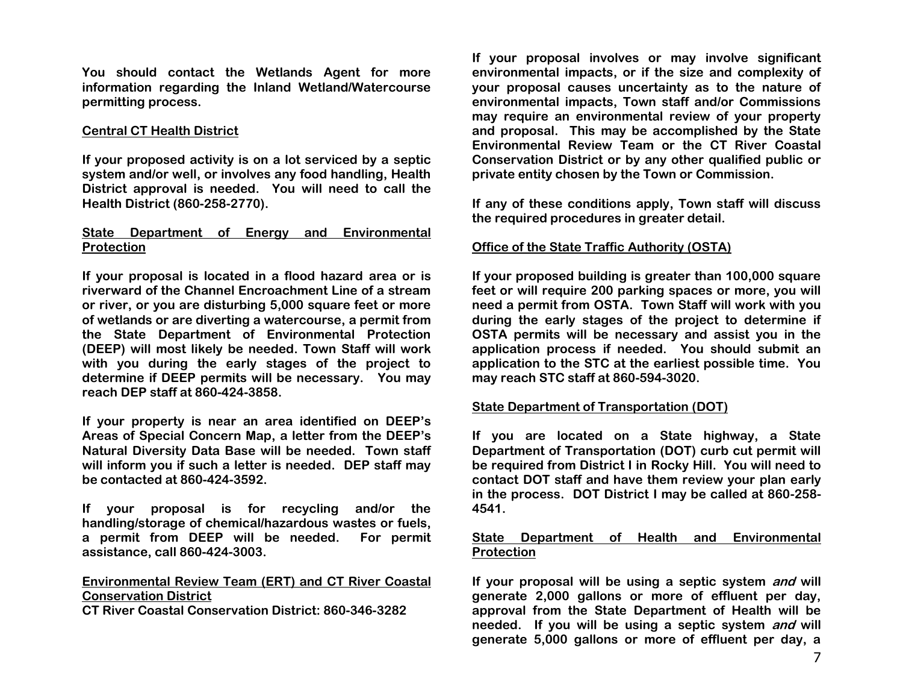**You should contact the Wetlands Agent for more information regarding the Inland Wetland/Watercourse permitting process.**

#### **Central CT Health District**

**If your proposed activity is on a lot serviced by a septic system and/or well, or involves any food handling, Health District approval is needed. You will need to call the Health District (860-258-2770).**

#### **State Department of Energy and Environmental Protection**

**If your proposal is located in a flood hazard area or is riverward of the Channel Encroachment Line of a stream or river, or you are disturbing 5,000 square feet or more of wetlands or are diverting a watercourse, a permit from the State Department of Environmental Protection (DEEP) will most likely be needed. Town Staff will work with you during the early stages of the project to determine if DEEP permits will be necessary. You may reach DEP staff at 860-424-3858.**

**If your property is near an area identified on DEEP's Areas of Special Concern Map, a letter from the DEEP's Natural Diversity Data Base will be needed. Town staff will inform you if such a letter is needed. DEP staff may be contacted at 860-424-3592.**

**If your proposal is for recycling and/or the handling/storage of chemical/hazardous wastes or fuels, a permit from DEEP will be needed. For permit assistance, call 860-424-3003.**

# **Environmental Review Team (ERT) and CT River Coastal Conservation District**

**CT River Coastal Conservation District: 860-346-3282**

**If your proposal involves or may involve significant environmental impacts, or if the size and complexity of your proposal causes uncertainty as to the nature of environmental impacts, Town staff and/or Commissions may require an environmental review of your property and proposal. This may be accomplished by the State Environmental Review Team or the CT River Coastal Conservation District or by any other qualified public or private entity chosen by the Town or Commission.**

**If any of these conditions apply, Town staff will discuss the required procedures in greater detail.**

#### **Office of the State Traffic Authority (OSTA)**

**If your proposed building is greater than 100,000 square feet or will require 200 parking spaces or more, you will need a permit from OSTA. Town Staff will work with you during the early stages of the project to determine if OSTA permits will be necessary and assist you in the application process if needed. You should submit an application to the STC at the earliest possible time. You may reach STC staff at 860-594-3020.**

#### **State Department of Transportation (DOT)**

**If you are located on a State highway, a State Department of Transportation (DOT) curb cut permit will be required from District I in Rocky Hill. You will need to contact DOT staff and have them review your plan early in the process. DOT District I may be called at 860-258- 4541.**

#### **State Department of Health and Environmental Protection**

**If your proposal will be using a septic system and will generate 2,000 gallons or more of effluent per day, approval from the State Department of Health will be needed. If you will be using a septic system and will generate 5,000 gallons or more of effluent per day, a**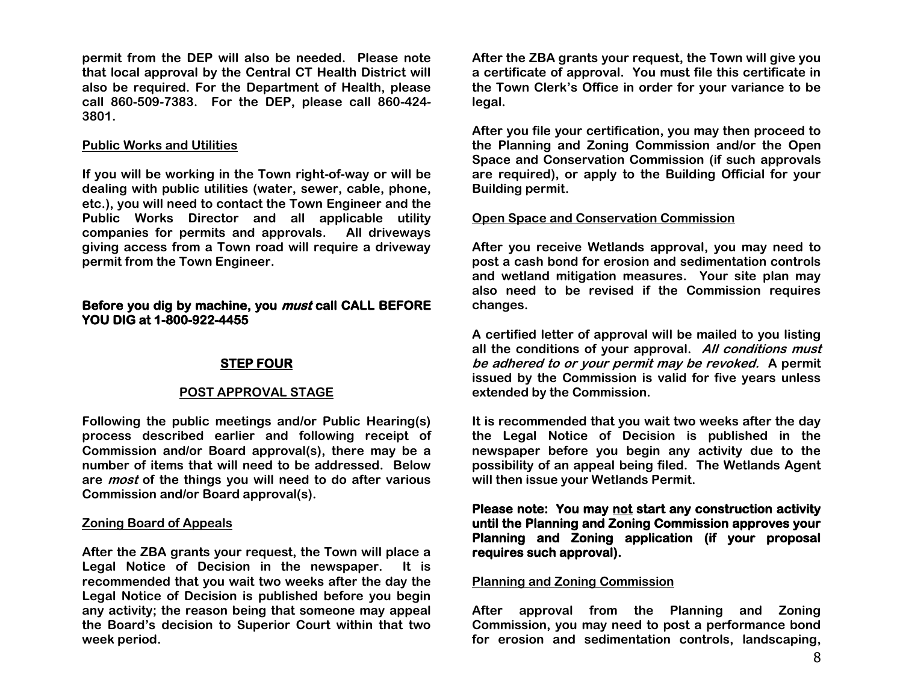**permit from the DEP will also be needed. Please note that local approval by the Central CT Health District will also be required. For the Department of Health, please call 860-509-7383. For the DEP, please call 860-424- 3801.**

#### **Public Works and Utilities**

**If you will be working in the Town right-of-way or will be dealing with public utilities (water, sewer, cable, phone, etc.), you will need to contact the Town Engineer and the Public Works Director and all applicable utility companies for permits and approvals. All driveways giving access from a Town road will require a driveway permit from the Town Engineer.**

#### **Before you dig by machine, you must call CALL BEFORE YOU DIG at 1-800-922-4455**

# **STEP FOUR**

#### **POST APPROVAL STAGE**

**Following the public meetings and/or Public Hearing(s) process described earlier and following receipt of Commission and/or Board approval(s), there may be a number of items that will need to be addressed. Below are most of the things you will need to do after various Commission and/or Board approval(s).**

#### **Zoning Board of Appeals**

**After the ZBA grants your request, the Town will place a Legal Notice of Decision in the newspaper. It is recommended that you wait two weeks after the day the Legal Notice of Decision is published before you begin any activity; the reason being that someone may appeal the Board's decision to Superior Court within that two week period.**

**After the ZBA grants your request, the Town will give you a certificate of approval. You must file this certificate in the Town Clerk's Office in order for your variance to be legal.**

**After you file your certification, you may then proceed to the Planning and Zoning Commission and/or the Open Space and Conservation Commission (if such approvals are required), or apply to the Building Official for your Building permit.**

#### **Open Space and Conservation Commission**

**After you receive Wetlands approval, you may need to post a cash bond for erosion and sedimentation controls and wetland mitigation measures. Your site plan may also need to be revised if the Commission requires changes.**

**A certified letter of approval will be mailed to you listing all the conditions of your approval. All conditions must be adhered to or your permit may be revoked. A permit issued by the Commission is valid for five years unless extended by the Commission.**

**It is recommended that you wait two weeks after the day the Legal Notice of Decision is published in the newspaper before you begin any activity due to the possibility of an appeal being filed. The Wetlands Agent will then issue your Wetlands Permit.**

**Please note: You may not start any construction activity until the Planning and Zoning Commission approves your Planning and Zoning application (if your proposal requires such approval).** 

#### **Planning and Zoning Commission**

**After approval from the Planning and Zoning Commission, you may need to post a performance bond for erosion and sedimentation controls, landscaping,**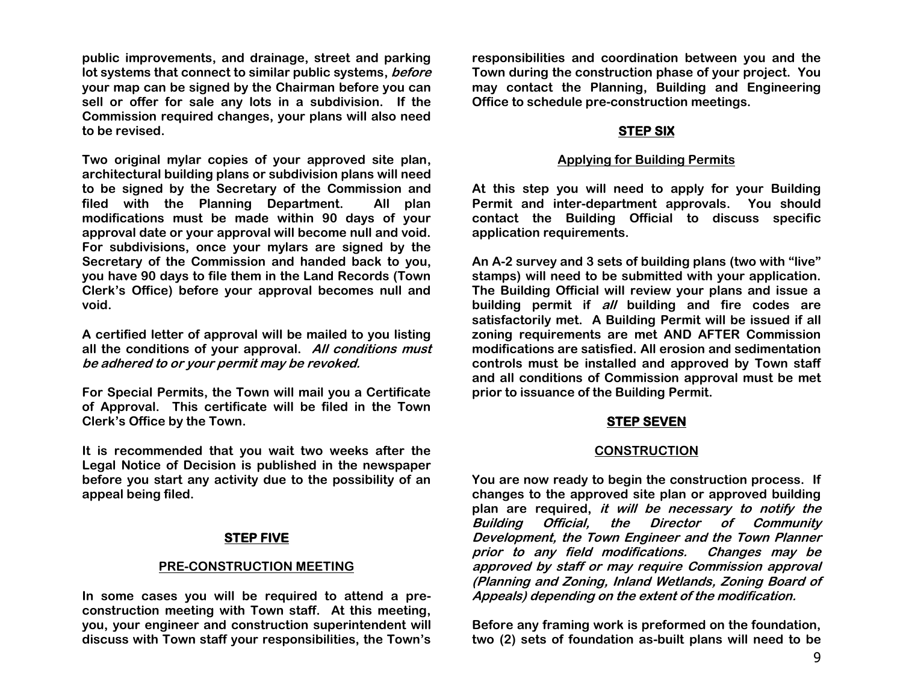**public improvements, and drainage, street and parking lot systems that connect to similar public systems, before your map can be signed by the Chairman before you can sell or offer for sale any lots in a subdivision. If the Commission required changes, your plans will also need to be revised.**

**Two original mylar copies of your approved site plan, architectural building plans or subdivision plans will need to be signed by the Secretary of the Commission and filed with the Planning Department. All plan modifications must be made within 90 days of your approval date or your approval will become null and void. For subdivisions, once your mylars are signed by the Secretary of the Commission and handed back to you, you have 90 days to file them in the Land Records (Town Clerk's Office) before your approval becomes null and void.**

**A certified letter of approval will be mailed to you listing all the conditions of your approval. All conditions must be adhered to or your permit may be revoked.**

**For Special Permits, the Town will mail you a Certificate of Approval. This certificate will be filed in the Town Clerk's Office by the Town.**

**It is recommended that you wait two weeks after the Legal Notice of Decision is published in the newspaper before you start any activity due to the possibility of an appeal being filed.**

#### **STEP FIVE**

#### **PRE-CONSTRUCTION MEETING**

**In some cases you will be required to attend a preconstruction meeting with Town staff. At this meeting, you, your engineer and construction superintendent will discuss with Town staff your responsibilities, the Town's** 

**responsibilities and coordination between you and the Town during the construction phase of your project. You may contact the Planning, Building and Engineering Office to schedule pre-construction meetings.**

# **STEP SIX**

#### **Applying for Building Permits**

**At this step you will need to apply for your Building Permit and inter-department approvals. You should contact the Building Official to discuss specific application requirements.** 

**An A-2 survey and 3 sets of building plans (two with "live" stamps) will need to be submitted with your application. The Building Official will review your plans and issue a building permit if all building and fire codes are satisfactorily met. A Building Permit will be issued if all zoning requirements are met AND AFTER Commission modifications are satisfied. All erosion and sedimentation controls must be installed and approved by Town staff and all conditions of Commission approval must be met prior to issuance of the Building Permit.**

# **STEP SEVEN**

# **CONSTRUCTION**

**You are now ready to begin the construction process. If changes to the approved site plan or approved building plan are required, it will be necessary to notify the Building Official, the Director of Community Development, the Town Engineer and the Town Planner prior to any field modifications. Changes may be approved by staff or may require Commission approval (Planning and Zoning, Inland Wetlands, Zoning Board of Appeals) depending on the extent of the modification.**

**Before any framing work is preformed on the foundation, two (2) sets of foundation as-built plans will need to be**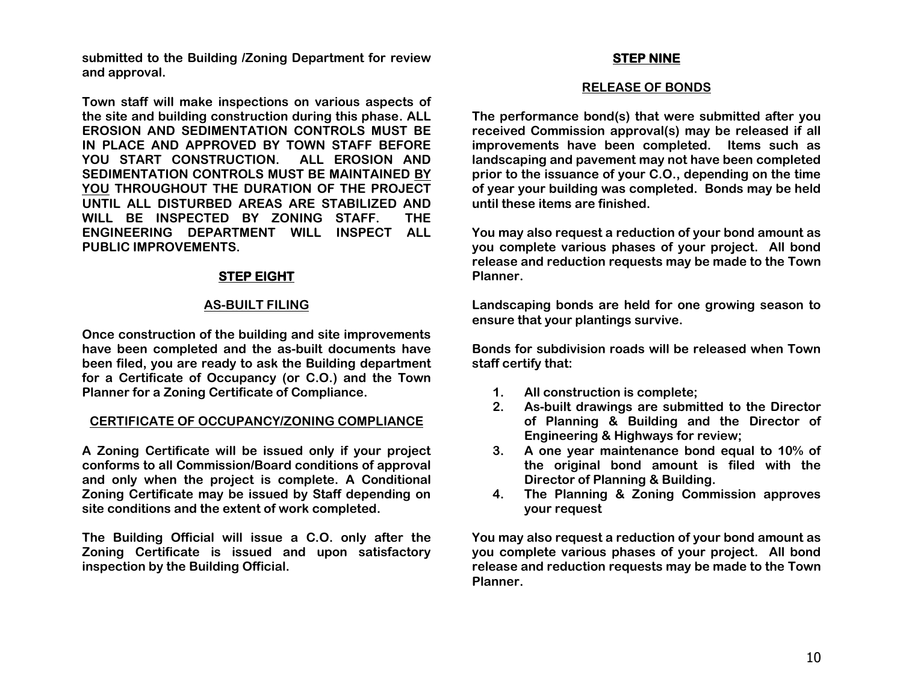**submitted to the Building /Zoning Department for review and approval.**

**Town staff will make inspections on various aspects of the site and building construction during this phase. ALL EROSION AND SEDIMENTATION CONTROLS MUST BE IN PLACE AND APPROVED BY TOWN STAFF BEFORE YOU START CONSTRUCTION. ALL EROSION AND SEDIMENTATION CONTROLS MUST BE MAINTAINED BY YOU THROUGHOUT THE DURATION OF THE PROJECT UNTIL ALL DISTURBED AREAS ARE STABILIZED AND WILL BE INSPECTED BY ZONING STAFF. THE ENGINEERING DEPARTMENT WILL INSPECT ALL PUBLIC IMPROVEMENTS.**

#### **STEP EIGHT**

#### **AS-BUILT FILING**

**Once construction of the building and site improvements have been completed and the as-built documents have been filed, you are ready to ask the Building department for a Certificate of Occupancy (or C.O.) and the Town Planner for a Zoning Certificate of Compliance.**

#### **CERTIFICATE OF OCCUPANCY/ZONING COMPLIANCE**

**A Zoning Certificate will be issued only if your project conforms to all Commission/Board conditions of approval and only when the project is complete. A Conditional Zoning Certificate may be issued by Staff depending on site conditions and the extent of work completed.** 

**The Building Official will issue a C.O. only after the Zoning Certificate is issued and upon satisfactory inspection by the Building Official.**

#### **STEP NINE**

#### **RELEASE OF BONDS**

**The performance bond(s) that were submitted after you received Commission approval(s) may be released if all improvements have been completed. Items such as landscaping and pavement may not have been completed prior to the issuance of your C.O., depending on the time of year your building was completed. Bonds may be held until these items are finished.** 

**You may also request a reduction of your bond amount as you complete various phases of your project. All bond release and reduction requests may be made to the Town Planner.**

**Landscaping bonds are held for one growing season to ensure that your plantings survive.** 

**Bonds for subdivision roads will be released when Town staff certify that:**

- **1. All construction is complete;**
- **2. As-built drawings are submitted to the Director of Planning & Building and the Director of Engineering & Highways for review;**
- **3. A one year maintenance bond equal to 10% of the original bond amount is filed with the Director of Planning & Building.**
- **4. The Planning & Zoning Commission approves your request**

**You may also request a reduction of your bond amount as you complete various phases of your project. All bond release and reduction requests may be made to the Town Planner.**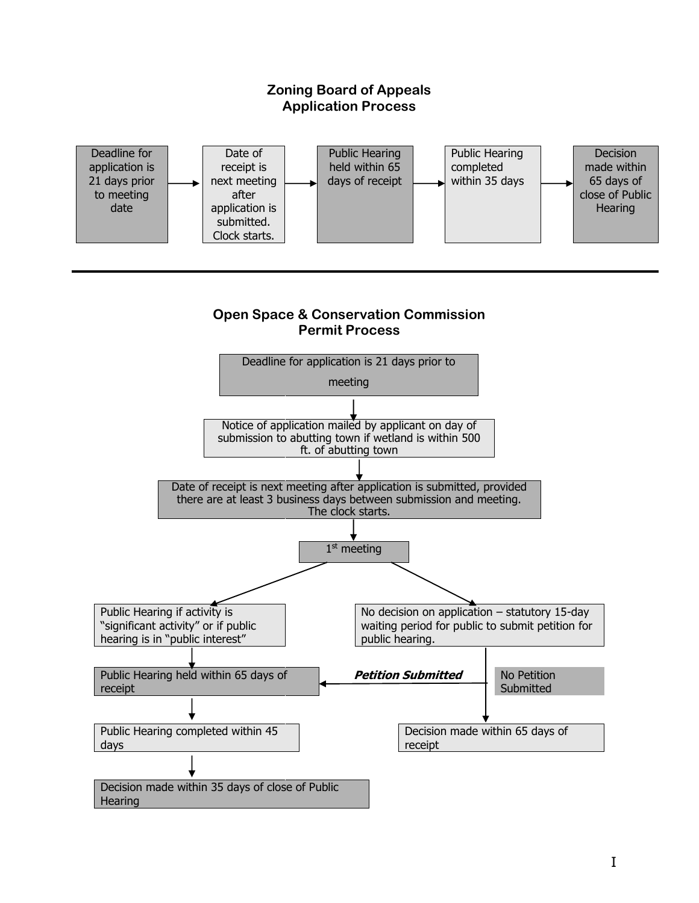#### **Zoning Board of Appeals Application Process** Deadline for application is 21 days prior to meeting date Date of receipt is next meeting after application is submitted. Clock starts. Public Hearing held within 65 days of receipt Public Hearing completed within 35 days **Decision** made within 65 days of close of Public **Hearing**

# **Open Space & Conservation Commission Permit Process**

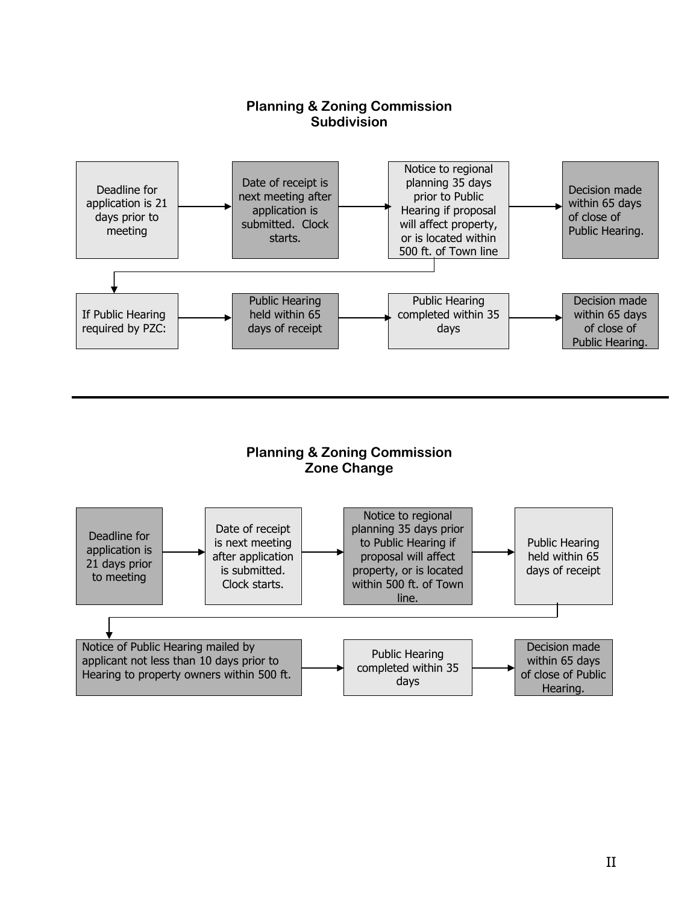

# **Planning & Zoning Commission Zone Change**